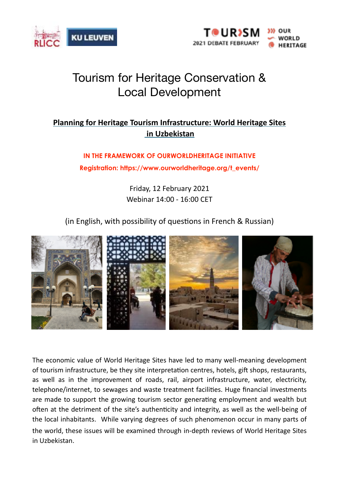



## Tourism for Heritage Conservation & Local Development

## **Planning for Heritage Tourism Infrastructure: World Heritage Sites in Uzbekistan**

**IN THE FRAMEWORK OF OURWORLDHERITAGE INITIATIVE Registration: https://www.ourworldheritage.org/t\_events/** 

> Friday, 12 February 2021 Webinar 14:00 - 16:00 CET

 $(in English, with possibility of questions in French & Russian)$ 



The economic value of World Heritage Sites have led to many well-meaning development of tourism infrastructure, be they site interpretation centres, hotels, gift shops, restaurants, as well as in the improvement of roads, rail, airport infrastructure, water, electricity, telephone/internet, to sewages and waste treatment facilities. Huge financial investments are made to support the growing tourism sector generating employment and wealth but often at the detriment of the site's authenticity and integrity, as well as the well-being of the local inhabitants. While varying degrees of such phenomenon occur in many parts of the world, these issues will be examined through in-depth reviews of World Heritage Sites in Uzbekistan.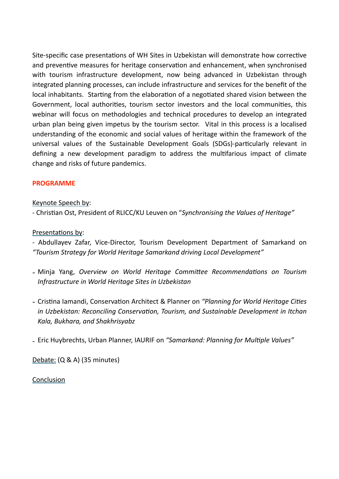Site-specific case presentations of WH Sites in Uzbekistan will demonstrate how corrective and preventive measures for heritage conservation and enhancement, when synchronised with tourism infrastructure development, now being advanced in Uzbekistan through integrated planning processes, can include infrastructure and services for the benefit of the local inhabitants. Starting from the elaboration of a negotiated shared vision between the Government, local authorities, tourism sector investors and the local communities, this webinar will focus on methodologies and technical procedures to develop an integrated urban plan being given impetus by the tourism sector. Vital in this process is a localised understanding of the economic and social values of heritage within the framework of the universal values of the Sustainable Development Goals (SDGs)-particularly relevant in defining a new development paradigm to address the multifarious impact of climate change and risks of future pandemics.

## **PROGRAMME**

Keynote Speech by:

- Christian Ost, President of RLICC/KU Leuven on "Synchronising the Values of Heritage"

Presentations by:

- Abdullayev Zafar, Vice-Director, Tourism Development Department of Samarkand on *"Tourism Strategy for World Heritage Samarkand driving Local Development"*

- Minja Yang, Overview on World Heritage Committee Recommendations on Tourism *Infrastructure in World Heritage Sites in Uzbekistan*
- Cristina Iamandi, Conservation Architect & Planner on *"Planning for World Heritage Cities in Uzbekistan: Reconciling Conservation, Tourism, and Sustainable Development in Itchan Kala, Bukhara, and Shakhrisyabz*

- Eric Huybrechts, Urban Planner, IAURIF on "Samarkand: Planning for Multiple Values"

Debate: (Q & A) (35 minutes)

Conclusion